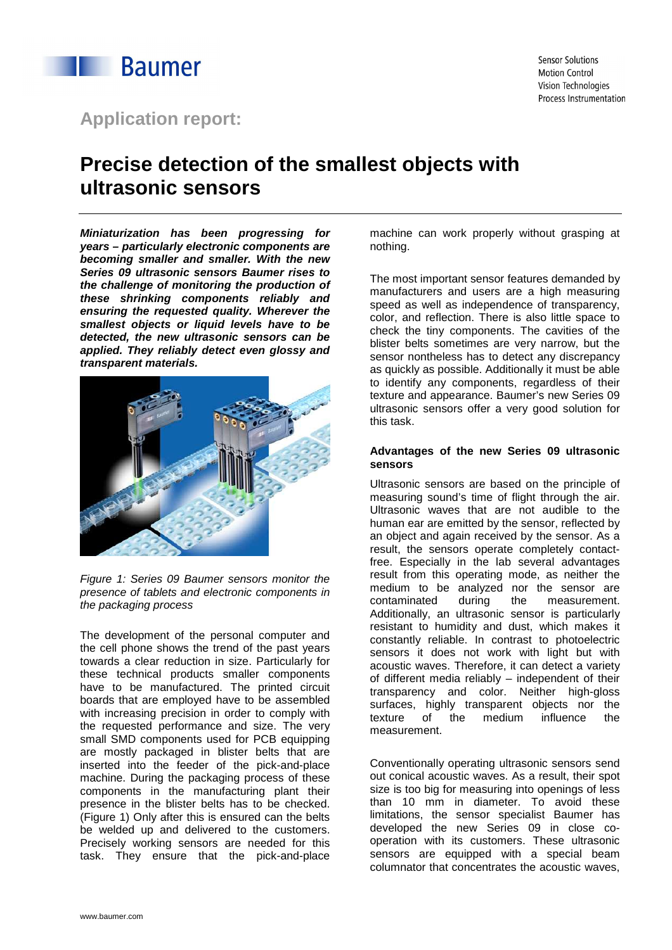

## **Application report:**

# **Precise detection of the smallest objects with ultrasonic sensors**

**Miniaturization has been progressing for years – particularly electronic components are becoming smaller and smaller. With the new Series 09 ultrasonic sensors Baumer rises to the challenge of monitoring the production of these shrinking components reliably and ensuring the requested quality. Wherever the smallest objects or liquid levels have to be detected, the new ultrasonic sensors can be applied. They reliably detect even glossy and transparent materials.** 



Figure 1: Series 09 Baumer sensors monitor the presence of tablets and electronic components in the packaging process

The development of the personal computer and the cell phone shows the trend of the past years towards a clear reduction in size. Particularly for these technical products smaller components have to be manufactured. The printed circuit boards that are employed have to be assembled with increasing precision in order to comply with the requested performance and size. The very small SMD components used for PCB equipping are mostly packaged in blister belts that are inserted into the feeder of the pick-and-place machine. During the packaging process of these components in the manufacturing plant their presence in the blister belts has to be checked. (Figure 1) Only after this is ensured can the belts be welded up and delivered to the customers. Precisely working sensors are needed for this task. They ensure that the pick-and-place

machine can work properly without grasping at nothing.

The most important sensor features demanded by manufacturers and users are a high measuring speed as well as independence of transparency, color, and reflection. There is also little space to check the tiny components. The cavities of the blister belts sometimes are very narrow, but the sensor nontheless has to detect any discrepancy as quickly as possible. Additionally it must be able to identify any components, regardless of their texture and appearance. Baumer's new Series 09 ultrasonic sensors offer a very good solution for this task.

### **Advantages of the new Series 09 ultrasonic sensors**

Ultrasonic sensors are based on the principle of measuring sound's time of flight through the air. Ultrasonic waves that are not audible to the human ear are emitted by the sensor, reflected by an object and again received by the sensor. As a result, the sensors operate completely contactfree. Especially in the lab several advantages result from this operating mode, as neither the medium to be analyzed nor the sensor are contaminated during the measurement. Additionally, an ultrasonic sensor is particularly resistant to humidity and dust, which makes it constantly reliable. In contrast to photoelectric sensors it does not work with light but with acoustic waves. Therefore, it can detect a variety of different media reliably – independent of their transparency and color. Neither high-gloss surfaces, highly transparent objects nor the texture of the medium influence the texture of the medium influence the measurement.

Conventionally operating ultrasonic sensors send out conical acoustic waves. As a result, their spot size is too big for measuring into openings of less than 10 mm in diameter. To avoid these limitations, the sensor specialist Baumer has developed the new Series 09 in close cooperation with its customers. These ultrasonic sensors are equipped with a special beam columnator that concentrates the acoustic waves,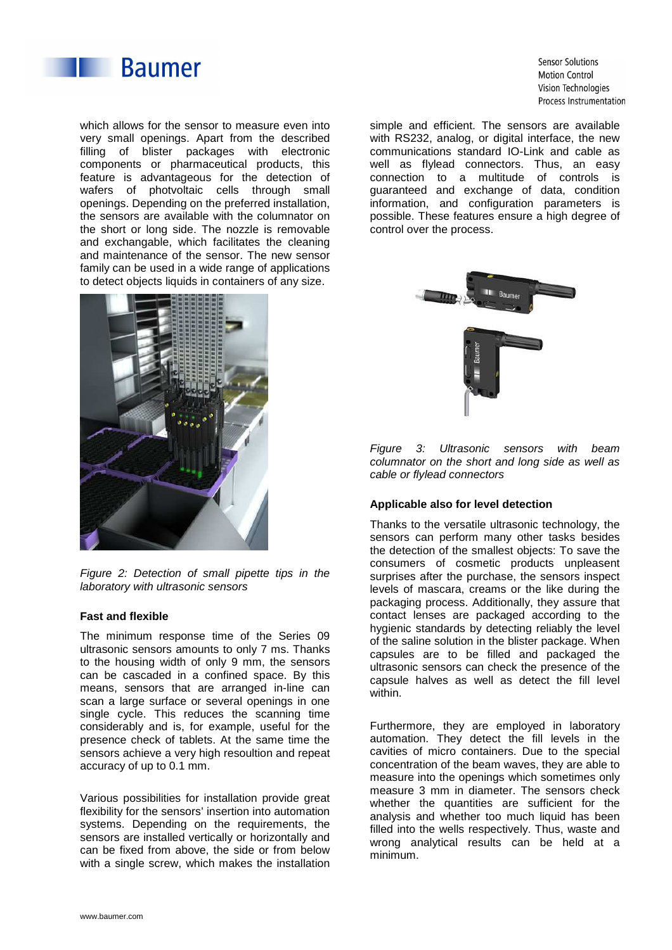

which allows for the sensor to measure even into very small openings. Apart from the described filling of blister packages with electronic components or pharmaceutical products, this feature is advantageous for the detection of wafers of photvoltaic cells through small openings. Depending on the preferred installation, the sensors are available with the columnator on the short or long side. The nozzle is removable and exchangable, which facilitates the cleaning and maintenance of the sensor. The new sensor family can be used in a wide range of applications to detect objects liquids in containers of any size.



Figure 2: Detection of small pipette tips in the laboratory with ultrasonic sensors

#### **Fast and flexible**

The minimum response time of the Series 09 ultrasonic sensors amounts to only 7 ms. Thanks to the housing width of only 9 mm, the sensors can be cascaded in a confined space. By this means, sensors that are arranged in-line can scan a large surface or several openings in one single cycle. This reduces the scanning time considerably and is, for example, useful for the presence check of tablets. At the same time the sensors achieve a very high resoultion and repeat accuracy of up to 0.1 mm.

Various possibilities for installation provide great flexibility for the sensors' insertion into automation systems. Depending on the requirements, the sensors are installed vertically or horizontally and can be fixed from above, the side or from below with a single screw, which makes the installation

Sensor Solutions **Motion Control** Vision Technologies Process Instrumentation

simple and efficient. The sensors are available with RS232, analog, or digital interface, the new communications standard IO-Link and cable as well as flylead connectors. Thus, an easy connection to a multitude of controls is guaranteed and exchange of data, condition information, and configuration parameters is possible. These features ensure a high degree of control over the process.



Figure 3: Ultrasonic sensors with beam columnator on the short and long side as well as cable or flylead connectors

### **Applicable also for level detection**

Thanks to the versatile ultrasonic technology, the sensors can perform many other tasks besides the detection of the smallest objects: To save the consumers of cosmetic products unpleasent surprises after the purchase, the sensors inspect levels of mascara, creams or the like during the packaging process. Additionally, they assure that contact lenses are packaged according to the hygienic standards by detecting reliably the level of the saline solution in the blister package. When capsules are to be filled and packaged the ultrasonic sensors can check the presence of the capsule halves as well as detect the fill level within.

Furthermore, they are employed in laboratory automation. They detect the fill levels in the cavities of micro containers. Due to the special concentration of the beam waves, they are able to measure into the openings which sometimes only measure 3 mm in diameter. The sensors check whether the quantities are sufficient for the analysis and whether too much liquid has been filled into the wells respectively. Thus, waste and wrong analytical results can be held at a minimum.